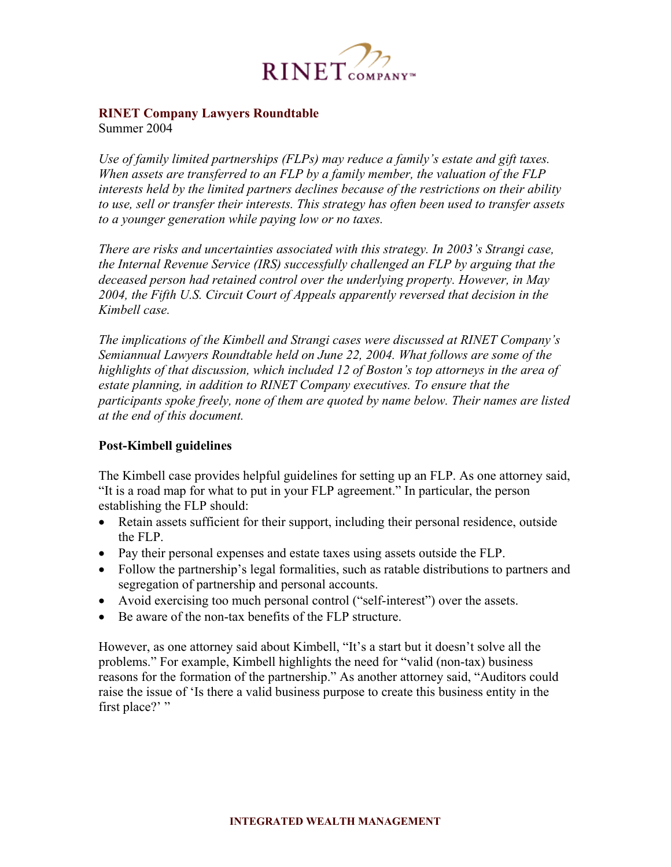

# **RINET Company Lawyers Roundtable**

Summer 2004

*Use of family limited partnerships (FLPs) may reduce a family's estate and gift taxes. When assets are transferred to an FLP by a family member, the valuation of the FLP interests held by the limited partners declines because of the restrictions on their ability to use, sell or transfer their interests. This strategy has often been used to transfer assets to a younger generation while paying low or no taxes.* 

*There are risks and uncertainties associated with this strategy. In 2003's Strangi case, the Internal Revenue Service (IRS) successfully challenged an FLP by arguing that the deceased person had retained control over the underlying property. However, in May 2004, the Fifth U.S. Circuit Court of Appeals apparently reversed that decision in the Kimbell case.* 

*The implications of the Kimbell and Strangi cases were discussed at RINET Company's Semiannual Lawyers Roundtable held on June 22, 2004. What follows are some of the highlights of that discussion, which included 12 of Boston's top attorneys in the area of estate planning, in addition to RINET Company executives. To ensure that the participants spoke freely, none of them are quoted by name below. Their names are listed at the end of this document.* 

## **Post-Kimbell guidelines**

The Kimbell case provides helpful guidelines for setting up an FLP. As one attorney said, "It is a road map for what to put in your FLP agreement." In particular, the person establishing the FLP should:

- Retain assets sufficient for their support, including their personal residence, outside the FLP.
- Pay their personal expenses and estate taxes using assets outside the FLP.
- Follow the partnership's legal formalities, such as ratable distributions to partners and segregation of partnership and personal accounts.
- Avoid exercising too much personal control ("self-interest") over the assets.
- Be aware of the non-tax benefits of the FLP structure.

However, as one attorney said about Kimbell, "It's a start but it doesn't solve all the problems." For example, Kimbell highlights the need for "valid (non-tax) business reasons for the formation of the partnership." As another attorney said, "Auditors could raise the issue of 'Is there a valid business purpose to create this business entity in the first place?"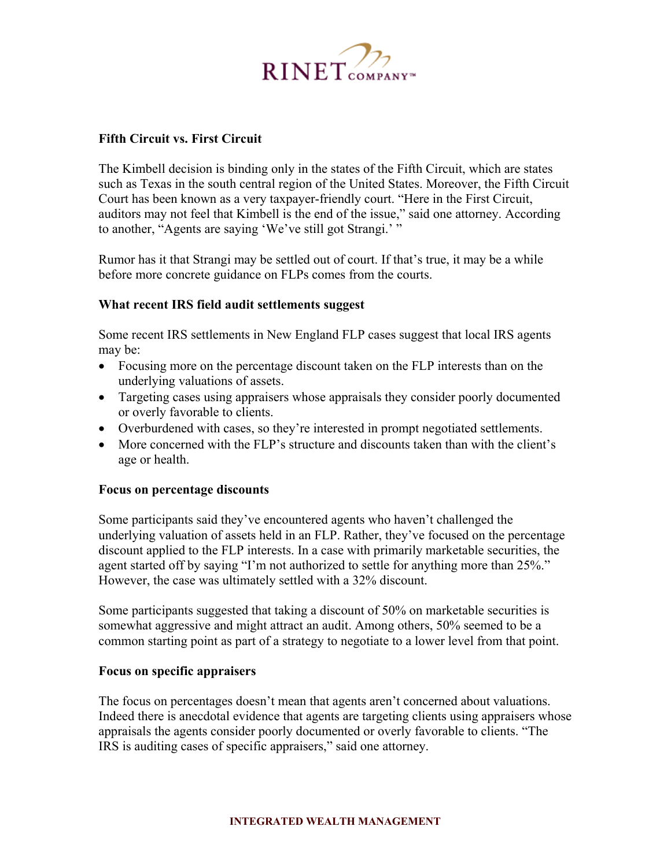

## **Fifth Circuit vs. First Circuit**

The Kimbell decision is binding only in the states of the Fifth Circuit, which are states such as Texas in the south central region of the United States. Moreover, the Fifth Circuit Court has been known as a very taxpayer-friendly court. "Here in the First Circuit, auditors may not feel that Kimbell is the end of the issue," said one attorney. According to another, "Agents are saying 'We've still got Strangi.' "

Rumor has it that Strangi may be settled out of court. If that's true, it may be a while before more concrete guidance on FLPs comes from the courts.

## **What recent IRS field audit settlements suggest**

Some recent IRS settlements in New England FLP cases suggest that local IRS agents may be:

- Focusing more on the percentage discount taken on the FLP interests than on the underlying valuations of assets.
- Targeting cases using appraisers whose appraisals they consider poorly documented or overly favorable to clients.
- Overburdened with cases, so they're interested in prompt negotiated settlements.
- More concerned with the FLP's structure and discounts taken than with the client's age or health.

## **Focus on percentage discounts**

Some participants said they've encountered agents who haven't challenged the underlying valuation of assets held in an FLP. Rather, they've focused on the percentage discount applied to the FLP interests. In a case with primarily marketable securities, the agent started off by saying "I'm not authorized to settle for anything more than 25%." However, the case was ultimately settled with a 32% discount.

Some participants suggested that taking a discount of 50% on marketable securities is somewhat aggressive and might attract an audit. Among others, 50% seemed to be a common starting point as part of a strategy to negotiate to a lower level from that point.

#### **Focus on specific appraisers**

The focus on percentages doesn't mean that agents aren't concerned about valuations. Indeed there is anecdotal evidence that agents are targeting clients using appraisers whose appraisals the agents consider poorly documented or overly favorable to clients. "The IRS is auditing cases of specific appraisers," said one attorney.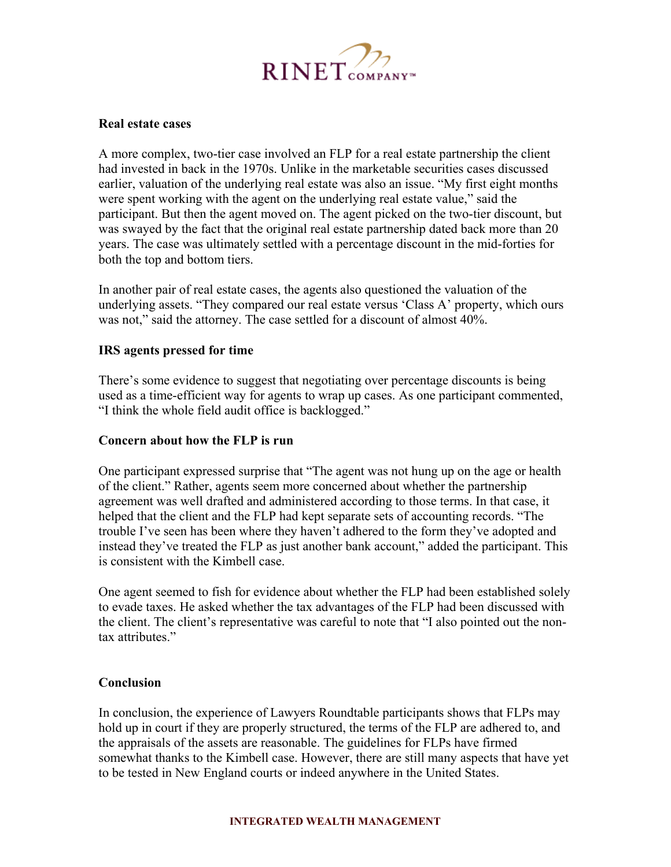

### **Real estate cases**

A more complex, two-tier case involved an FLP for a real estate partnership the client had invested in back in the 1970s. Unlike in the marketable securities cases discussed earlier, valuation of the underlying real estate was also an issue. "My first eight months were spent working with the agent on the underlying real estate value," said the participant. But then the agent moved on. The agent picked on the two-tier discount, but was swayed by the fact that the original real estate partnership dated back more than 20 years. The case was ultimately settled with a percentage discount in the mid-forties for both the top and bottom tiers.

In another pair of real estate cases, the agents also questioned the valuation of the underlying assets. "They compared our real estate versus 'Class A' property, which ours was not," said the attorney. The case settled for a discount of almost 40%.

## **IRS agents pressed for time**

There's some evidence to suggest that negotiating over percentage discounts is being used as a time-efficient way for agents to wrap up cases. As one participant commented, "I think the whole field audit office is backlogged."

### **Concern about how the FLP is run**

One participant expressed surprise that "The agent was not hung up on the age or health of the client." Rather, agents seem more concerned about whether the partnership agreement was well drafted and administered according to those terms. In that case, it helped that the client and the FLP had kept separate sets of accounting records. "The trouble I've seen has been where they haven't adhered to the form they've adopted and instead they've treated the FLP as just another bank account," added the participant. This is consistent with the Kimbell case.

One agent seemed to fish for evidence about whether the FLP had been established solely to evade taxes. He asked whether the tax advantages of the FLP had been discussed with the client. The client's representative was careful to note that "I also pointed out the nontax attributes."

## **Conclusion**

In conclusion, the experience of Lawyers Roundtable participants shows that FLPs may hold up in court if they are properly structured, the terms of the FLP are adhered to, and the appraisals of the assets are reasonable. The guidelines for FLPs have firmed somewhat thanks to the Kimbell case. However, there are still many aspects that have yet to be tested in New England courts or indeed anywhere in the United States.